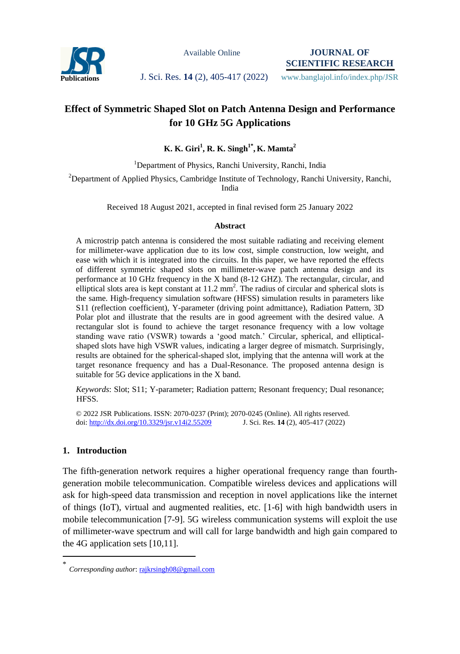

Available Online

**JOURNAL OF SCIENTIFIC RESEARCH**

Publications **J. Sci. Res. 14** (2), 405-417 (2022) www.banglajol.info/index.php/JSR

# **Effect of Symmetric Shaped Slot on Patch Antenna Design and Performance for 10 GHz 5G Applications**

## **K. K. Giri<sup>1</sup> , R. K. Singh1\* , K. Mamta<sup>2</sup>**

<sup>1</sup>Department of Physics, Ranchi University, Ranchi, India

<sup>2</sup>Department of Applied Physics, Cambridge Institute of Technology, Ranchi University, Ranchi, India

Received 18 August 2021, accepted in final revised form 25 January 2022

#### **Abstract**

A microstrip patch antenna is considered the most suitable radiating and receiving element for millimeter-wave application due to its low cost, simple construction, low weight, and ease with which it is integrated into the circuits. In this paper, we have reported the effects of different symmetric shaped slots on millimeter-wave patch antenna design and its performance at 10 GHz frequency in the X band (8-12 GHZ). The rectangular, circular, and elliptical slots area is kept constant at  $11.2 \text{ mm}^2$ . The radius of circular and spherical slots is the same. High-frequency simulation software (HFSS) simulation results in parameters like S11 (reflection coefficient), Y-parameter (driving point admittance), Radiation Pattern, 3D Polar plot and illustrate that the results are in good agreement with the desired value. A rectangular slot is found to achieve the target resonance frequency with a low voltage standing wave ratio (VSWR) towards a 'good match.' Circular, spherical, and ellipticalshaped slots have high VSWR values, indicating a larger degree of mismatch. Surprisingly, results are obtained for the spherical-shaped slot, implying that the antenna will work at the target resonance frequency and has a Dual-Resonance. The proposed antenna design is suitable for 5G device applications in the X band.

*Keywords*: Slot; S11; Y-parameter; Radiation pattern; Resonant frequency; Dual resonance; HFSS.

© 2022 JSR Publications. ISSN: 2070-0237 (Print); 2070-0245 (Online). All rights reserved. doi:<http://dx.doi.org/10.3329/jsr.v14i2.55209>J. Sci. Res. **14** (2), 405-417 (2022)

## **1. Introduction**

 $\overline{a}$ 

The fifth-generation network requires a higher operational frequency range than fourthgeneration mobile telecommunication. Compatible wireless devices and applications will ask for high-speed data transmission and reception in novel applications like the internet of things (IoT), virtual and augmented realities, etc. [1-6] with high bandwidth users in mobile telecommunication [7-9]. 5G wireless communication systems will exploit the use of millimeter-wave spectrum and will call for large bandwidth and high gain compared to the 4G application sets [10,11].

<sup>\*</sup> *Corresponding author*[: rajkrsingh08@gmail.com](mailto:rajkrsingh08@gmail.com)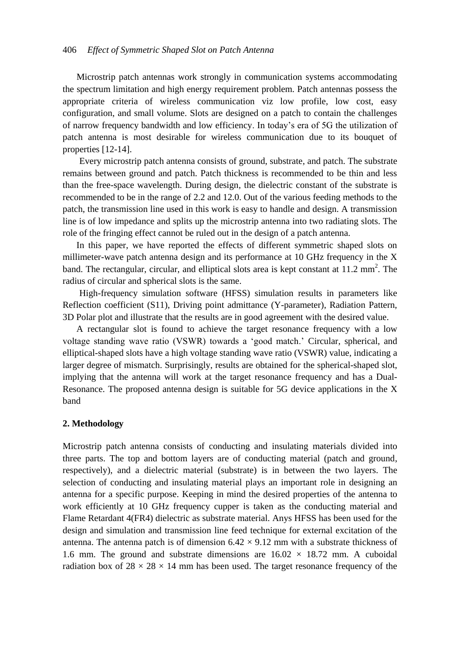Microstrip patch antennas work strongly in communication systems accommodating the spectrum limitation and high energy requirement problem. Patch antennas possess the appropriate criteria of wireless communication viz low profile, low cost, easy configuration, and small volume. Slots are designed on a patch to contain the challenges of narrow frequency bandwidth and low efficiency. In today's era of 5G the utilization of patch antenna is most desirable for wireless communication due to its bouquet of properties [12-14].

Every microstrip patch antenna consists of ground, substrate, and patch. The substrate remains between ground and patch. Patch thickness is recommended to be thin and less than the free-space wavelength. During design, the dielectric constant of the substrate is recommended to be in the range of 2.2 and 12.0. Out of the various feeding methods to the patch, the transmission line used in this work is easy to handle and design. A transmission line is of low impedance and splits up the microstrip antenna into two radiating slots. The role of the fringing effect cannot be ruled out in the design of a patch antenna.

 In this paper, we have reported the effects of different symmetric shaped slots on millimeter-wave patch antenna design and its performance at 10 GHz frequency in the X band. The rectangular, circular, and elliptical slots area is kept constant at  $11.2 \text{ mm}^2$ . The radius of circular and spherical slots is the same.

High-frequency simulation software (HFSS) simulation results in parameters like Reflection coefficient (S11), Driving point admittance (Y-parameter), Radiation Pattern, 3D Polar plot and illustrate that the results are in good agreement with the desired value.

 A rectangular slot is found to achieve the target resonance frequency with a low voltage standing wave ratio (VSWR) towards a 'good match.' Circular, spherical, and elliptical-shaped slots have a high voltage standing wave ratio (VSWR) value, indicating a larger degree of mismatch. Surprisingly, results are obtained for the spherical-shaped slot, implying that the antenna will work at the target resonance frequency and has a Dual-Resonance. The proposed antenna design is suitable for 5G device applications in the X band

### **2. Methodology**

Microstrip patch antenna consists of conducting and insulating materials divided into three parts. The top and bottom layers are of conducting material (patch and ground, respectively), and a dielectric material (substrate) is in between the two layers. The selection of conducting and insulating material plays an important role in designing an antenna for a specific purpose. Keeping in mind the desired properties of the antenna to work efficiently at 10 GHz frequency cupper is taken as the conducting material and Flame Retardant 4(FR4) dielectric as substrate material. Anys HFSS has been used for the design and simulation and transmission line feed technique for external excitation of the antenna. The antenna patch is of dimension  $6.42 \times 9.12$  mm with a substrate thickness of 1.6 mm. The ground and substrate dimensions are  $16.02 \times 18.72$  mm. A cuboidal radiation box of  $28 \times 28 \times 14$  mm has been used. The target resonance frequency of the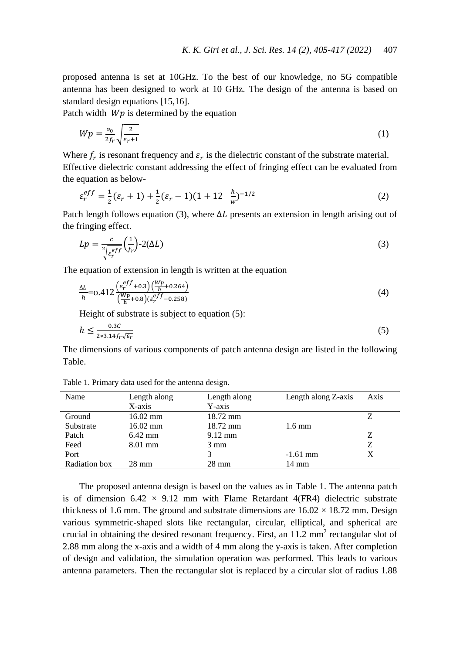proposed antenna is set at 10GHz. To the best of our knowledge, no 5G compatible antenna has been designed to work at 10 GHz. The design of the antenna is based on standard design equations [15,16].

Patch width  $Wp$  is determined by the equation

$$
Wp = \frac{v_0}{2f_r} \sqrt{\frac{2}{\varepsilon_r + 1}}\tag{1}
$$

Where  $f_r$  is resonant frequency and  $\varepsilon_r$  is the dielectric constant of the substrate material. Effective dielectric constant addressing the effect of fringing effect can be evaluated from the equation as below-

$$
\varepsilon_r^{eff} = \frac{1}{2} (\varepsilon_r + 1) + \frac{1}{2} (\varepsilon_r - 1)(1 + 12 \frac{h}{w})^{-1/2}
$$
 (2)

Patch length follows equation (3), where  $\Delta L$  presents an extension in length arising out of the fringing effect.

$$
Lp = \frac{c}{2\sqrt{\varepsilon_r^{eff}}} \left(\frac{1}{f_r}\right) - 2(\Delta L)
$$
\n(3)

The equation of extension in length is written at the equation

$$
\frac{\Delta L}{h} = 0.412 \frac{\left(\varepsilon_r^{eff} + 0.3\right) \left(\frac{Wp}{h} + 0.264\right)}{\left(\frac{Wp}{h} + 0.8\right) \left(\varepsilon_r^{eff} - 0.258\right)}\tag{4}
$$

Height of substrate is subject to equation (5):

$$
h \le \frac{0.3C}{2 \times 3.14 f_r \sqrt{\varepsilon_r}}\tag{5}
$$

The dimensions of various components of patch antenna design are listed in the following Table.

| Name          | Length along       | Length along      | Length along Z-axis | Axis |
|---------------|--------------------|-------------------|---------------------|------|
|               | X-axis             | Y-axis            |                     |      |
| Ground        | $16.02 \text{ mm}$ | 18.72 mm          |                     |      |
| Substrate     | $16.02 \text{ mm}$ | 18.72 mm          | $1.6 \text{ mm}$    |      |
| Patch         | $6.42 \text{ mm}$  | $9.12 \text{ mm}$ |                     | Z    |
| Feed          | $8.01$ mm          | $3 \text{ mm}$    |                     | Z    |
| Port          |                    |                   | $-1.61$ mm          | X    |
| Radiation box | $28 \text{ mm}$    | $28 \text{ mm}$   | 14 mm               |      |

Table 1. Primary data used for the antenna design.

The proposed antenna design is based on the values as in Table 1. The antenna patch is of dimension  $6.42 \times 9.12$  mm with Flame Retardant 4(FR4) dielectric substrate thickness of 1.6 mm. The ground and substrate dimensions are  $16.02 \times 18.72$  mm. Design various symmetric-shaped slots like rectangular, circular, elliptical, and spherical are crucial in obtaining the desired resonant frequency. First, an  $11.2 \text{ mm}^2$  rectangular slot of 2.88 mm along the x-axis and a width of 4 mm along the y-axis is taken. After completion of design and validation, the simulation operation was performed. This leads to various antenna parameters. Then the rectangular slot is replaced by a circular slot of radius 1.88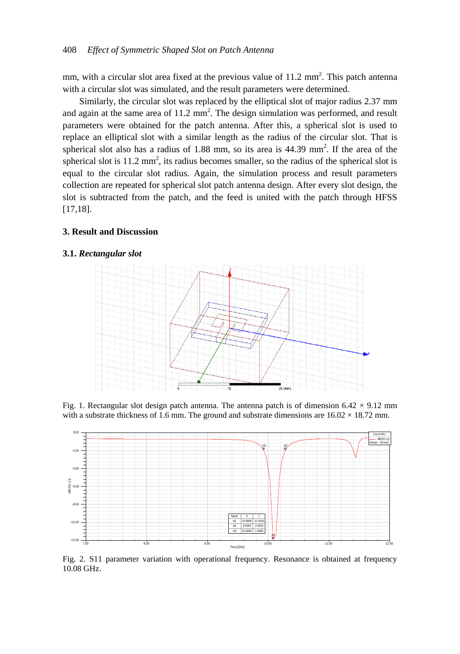mm, with a circular slot area fixed at the previous value of  $11.2 \text{ mm}^2$ . This patch antenna with a circular slot was simulated, and the result parameters were determined.

Similarly, the circular slot was replaced by the elliptical slot of major radius 2.37 mm and again at the same area of  $11.2 \text{ mm}^2$ . The design simulation was performed, and result parameters were obtained for the patch antenna. After this, a spherical slot is used to replace an elliptical slot with a similar length as the radius of the circular slot. That is spherical slot also has a radius of  $1.88$  mm, so its area is  $44.39$  mm<sup>2</sup>. If the area of the spherical slot is  $11.2 \text{ mm}^2$ , its radius becomes smaller, so the radius of the spherical slot is equal to the circular slot radius. Again, the simulation process and result parameters collection are repeated for spherical slot patch antenna design. After every slot design, the slot is subtracted from the patch, and the feed is united with the patch through HFSS [17,18].

#### **3. Result and Discussion**

#### **3.1.** *Rectangular slot*



Fig. 1. Rectangular slot design patch antenna. The antenna patch is of dimension  $6.42 \times 9.12$  mm



Fig. 2. S11 parameter variation with operational frequency. Resonance is obtained at frequency 10.08 GHz.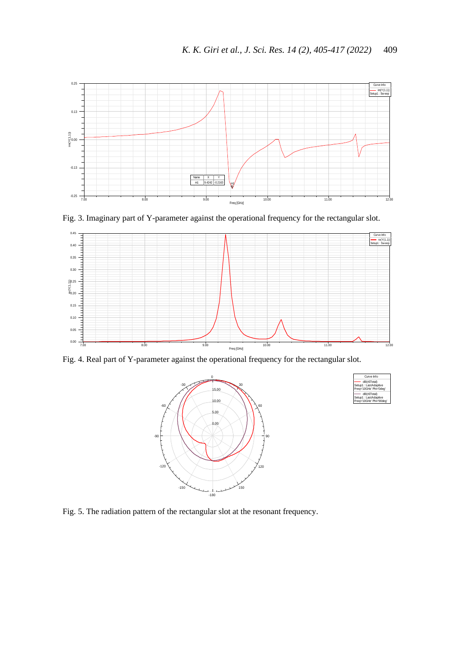



Fig. 4. Real part of Y-parameter against the operational frequency for the rectangular slot.





Fig. 5. The radiation pattern of the rectangular slot at the resonant frequency.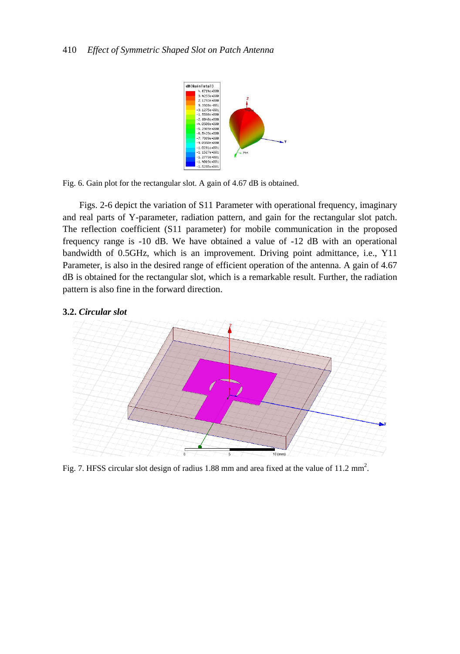

Fig. 6. Gain plot for the rectangular slot. A gain of 4.67 dB is obtained.

Figs. 2-6 depict the variation of S11 Parameter with operational frequency, imaginary and real parts of Y-parameter, radiation pattern, and gain for the rectangular slot patch. The reflection coefficient (S11 parameter) for mobile communication in the proposed frequency range is -10 dB. We have obtained a value of -12 dB with an operational bandwidth of 0.5GHz, which is an improvement. Driving point admittance, i.e., Y11 Parameter, is also in the desired range of efficient operation of the antenna. A gain of 4.67 dB is obtained for the rectangular slot, which is a remarkable result. Further, the radiation pattern is also fine in the forward direction.

## **3.2.** *Circular slot*



Fig. 7. HFSS circular slot design of radius 1.88 mm and area fixed at the value of 11.2 mm<sup>2</sup>.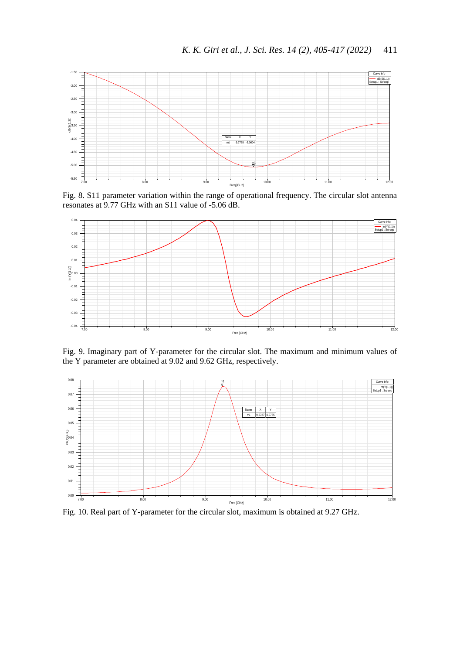

Fig. 8. S11 parameter variation within the range of operational frequency. The circular slot antenna



Fig. 9. Imaginary part of Y-parameter for the circular slot. The maximum and minimum values of the Y parameter are obtained at 9.02 and 9.62 GHz, respectively.



Fig. 10. Real part of Y-parameter for the circular slot, maximum is obtained at 9.27 GHz.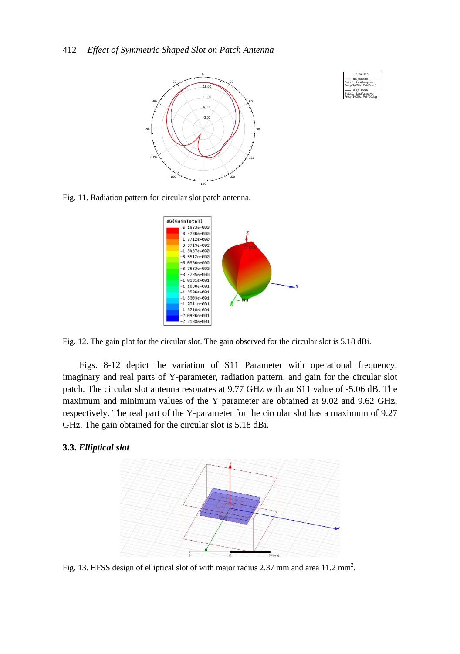



Fig. 11. Radiation pattern for circular slot patch antenna.



Fig. 12. The gain plot for the circular slot. The gain observed for the circular slot is 5.18 dBi.

Figs. 8-12 depict the variation of S11 Parameter with operational frequency, imaginary and real parts of Y-parameter, radiation pattern, and gain for the circular slot patch. The circular slot antenna resonates at 9.77 GHz with an S11 value of -5.06 dB. The maximum and minimum values of the Y parameter are obtained at 9.02 and 9.62 GHz, respectively. The real part of the Y-parameter for the circular slot has a maximum of 9.27 GHz. The gain obtained for the circular slot is 5.18 dBi.

## **3.3.** *Elliptical slot*



Fig. 13. HFSS design of elliptical slot of with major radius 2.37 mm and area  $11.2 \text{ mm}^2$ .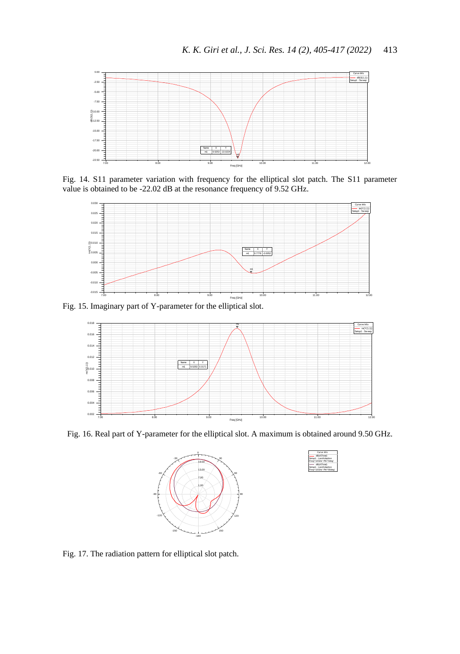

Fig. 14. S11 parameter variation with frequency for the elliptical slot patch. The S11 parameter value is obtained to be -22.02 dB at the resonance frequency of 9.52 GHz.



Fig. 15. Imaginary part of Y-parameter for the elliptical slot.



Fig. 16. Real part of Y-parameter for the elliptical slot. A maximum is obtained around 9.50 GHz.





Fig. 17. The radiation pattern for elliptical slot patch.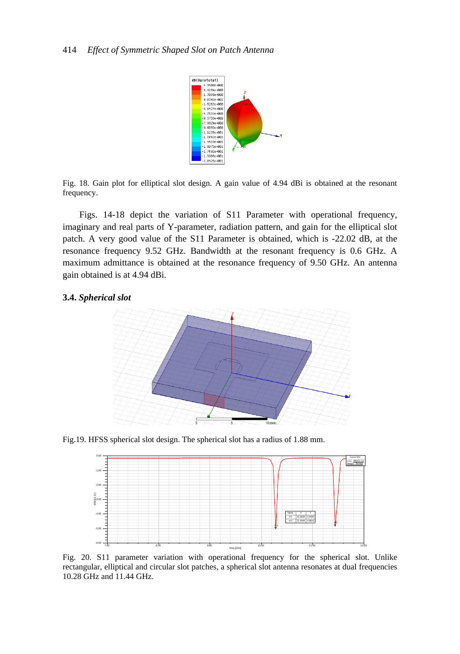

Fig. 18. Gain plot for elliptical slot design. A gain value of 4.94 dBi is obtained at the resonant frequency.

Figs. 14-18 depict the variation of S11 Parameter with operational frequency, imaginary and real parts of Y-parameter, radiation pattern, and gain for the elliptical slot patch. A very good value of the S11 Parameter is obtained, which is -22.02 dB, at the resonance frequency 9.52 GHz. Bandwidth at the resonant frequency is 0.6 GHz. A maximum admittance is obtained at the resonance frequency of 9.50 GHz. An antenna gain obtained is at 4.94 dBi.

## **3.4.** *Spherical slot*



Fig.19. HFSS spherical slot design. The spherical slot has a radius of 1.88 mm.



Fig. 20. S11 parameter variation with operational frequency for the spherical slot. Unlike rectangular, elliptical and circular slot patches, a spherical slot antenna resonates at dual frequencies 10.28 GHz and 11.44 GHz.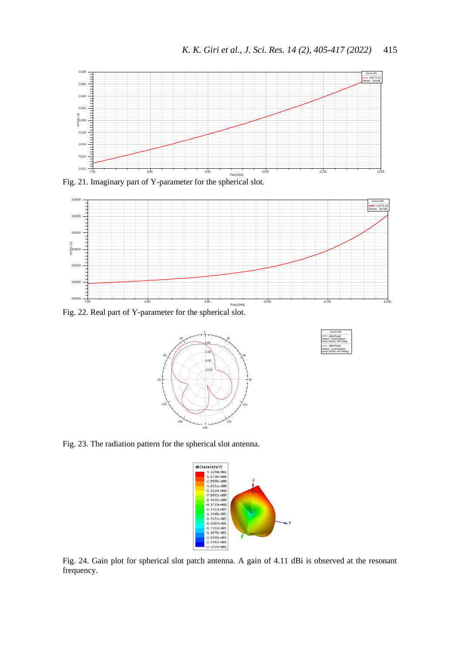

Fig. 21. Imaginary part of Y-parameter for the spherical slot.



Fig. 22. Real part of Y-parameter for the spherical slot.





Fig. 23. The radiation pattern for the spherical slot antenna.



Fig. 24. Gain plot for spherical slot patch antenna. A gain of 4.11 dBi is observed at the resonant frequency.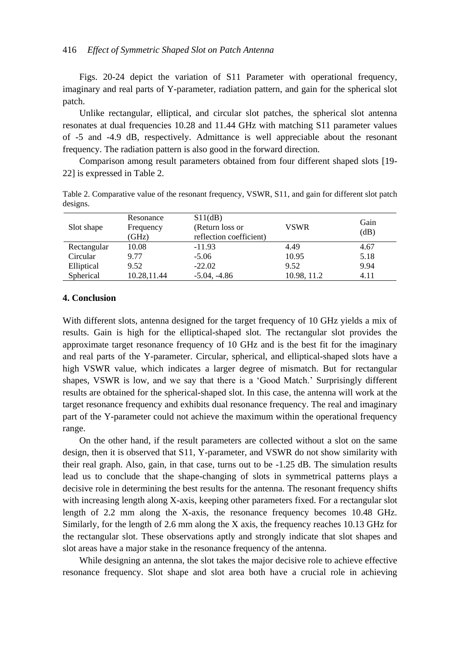Figs. 20-24 depict the variation of S11 Parameter with operational frequency, imaginary and real parts of Y-parameter, radiation pattern, and gain for the spherical slot patch.

Unlike rectangular, elliptical, and circular slot patches, the spherical slot antenna resonates at dual frequencies 10.28 and 11.44 GHz with matching S11 parameter values of -5 and -4.9 dB, respectively. Admittance is well appreciable about the resonant frequency. The radiation pattern is also good in the forward direction.

Comparison among result parameters obtained from four different shaped slots [19- 22] is expressed in Table 2.

Table 2. Comparative value of the resonant frequency, VSWR, S11, and gain for different slot patch designs.

| Slot shape  | Resonance<br>Frequency<br>(GHz) | S11(dB)<br>(Return loss or<br>reflection coefficient) | <b>VSWR</b> | Gain<br>(dB) |
|-------------|---------------------------------|-------------------------------------------------------|-------------|--------------|
| Rectangular | 10.08                           | $-11.93$                                              | 4.49        | 4.67         |
| Circular    | 9.77                            | $-5.06$                                               | 10.95       | 5.18         |
| Elliptical  | 9.52                            | $-22.02$                                              | 9.52        | 9.94         |
| Spherical   | 10.28,11.44                     | $-5.04, -4.86$                                        | 10.98, 11.2 | 4.11         |

## **4. Conclusion**

With different slots, antenna designed for the target frequency of 10 GHz yields a mix of results. Gain is high for the elliptical-shaped slot. The rectangular slot provides the approximate target resonance frequency of 10 GHz and is the best fit for the imaginary and real parts of the Y-parameter. Circular, spherical, and elliptical-shaped slots have a high VSWR value, which indicates a larger degree of mismatch. But for rectangular shapes, VSWR is low, and we say that there is a 'Good Match.' Surprisingly different results are obtained for the spherical-shaped slot. In this case, the antenna will work at the target resonance frequency and exhibits dual resonance frequency. The real and imaginary part of the Y-parameter could not achieve the maximum within the operational frequency range.

On the other hand, if the result parameters are collected without a slot on the same design, then it is observed that S11, Y-parameter, and VSWR do not show similarity with their real graph. Also, gain, in that case, turns out to be -1.25 dB. The simulation results lead us to conclude that the shape-changing of slots in symmetrical patterns plays a decisive role in determining the best results for the antenna. The resonant frequency shifts with increasing length along X-axis, keeping other parameters fixed. For a rectangular slot length of 2.2 mm along the X-axis, the resonance frequency becomes 10.48 GHz. Similarly, for the length of 2.6 mm along the X axis, the frequency reaches 10.13 GHz for the rectangular slot. These observations aptly and strongly indicate that slot shapes and slot areas have a major stake in the resonance frequency of the antenna.

While designing an antenna, the slot takes the major decisive role to achieve effective resonance frequency. Slot shape and slot area both have a crucial role in achieving